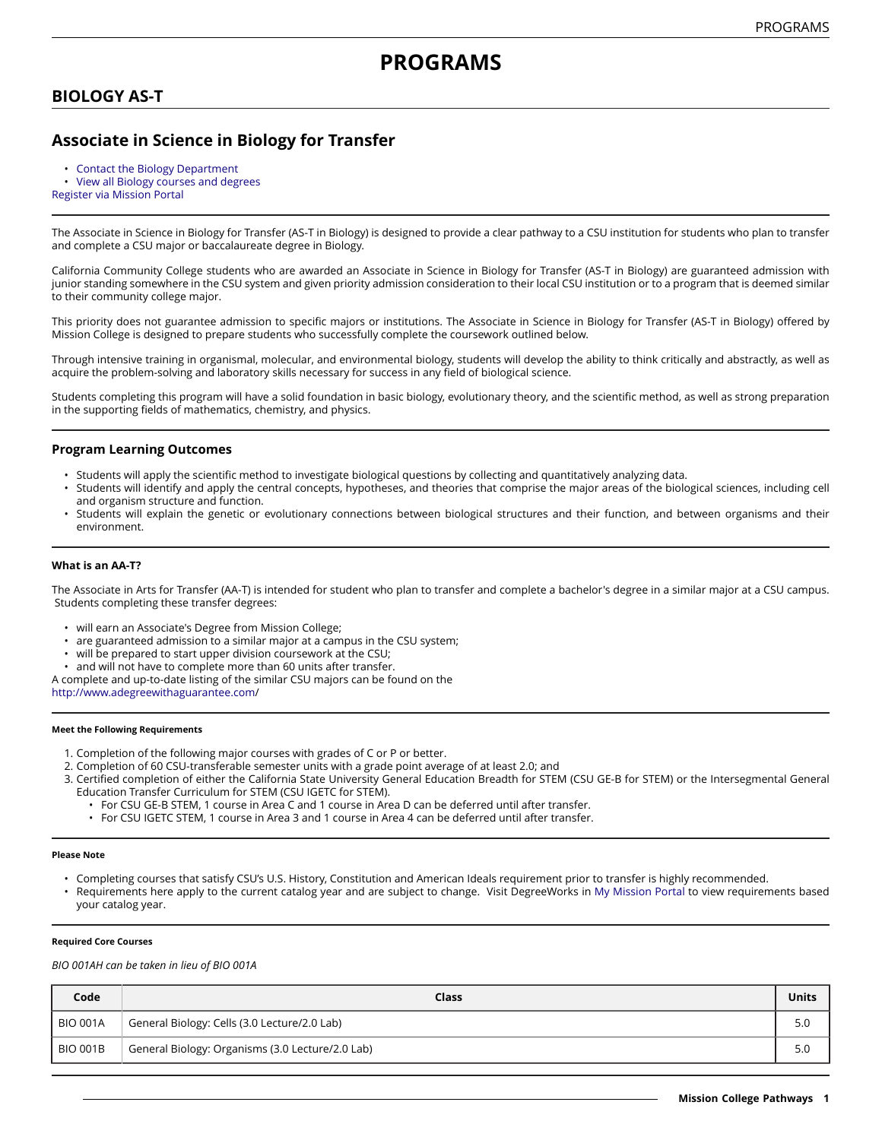# **BIOLOGY AS-T**

## **Associate in Science in Biology for Transfer**

- [Contact the Biology Department](https://missioncollege.edu/depts/biology/index.html)
- View all Biology courses and [degrees](http://majors.missioncollege.edu/current/courses/bio.html)

[Register via Mission Portal](https://web.wvm.edu/)

The Associate in Science in Biology for Transfer (AS-T in Biology) is designed to provide a clear pathway to a CSU institution for students who plan to transfer and complete a CSU major or baccalaureate degree in Biology.

California Community College students who are awarded an Associate in Science in Biology for Transfer (AS-T in Biology) are guaranteed admission with junior standing somewhere in the CSU system and given priority admission consideration to their local CSU institution or to a program that is deemed similar to their community college major.

This priority does not guarantee admission to specific majors or institutions. The Associate in Science in Biology for Transfer (AS-T in Biology) offered by Mission College is designed to prepare students who successfully complete the coursework outlined below.

Through intensive training in organismal, molecular, and environmental biology, students will develop the ability to think critically and abstractly, as well as acquire the problem-solving and laboratory skills necessary for success in any field of biological science.

Students completing this program will have a solid foundation in basic biology, evolutionary theory, and the scientific method, as well as strong preparation in the supporting fields of mathematics, chemistry, and physics.

## **Program Learning Outcomes**

- Students will apply the scientific method to investigate biological questions by collecting and quantitatively analyzing data.
- Students will identify and apply the central concepts, hypotheses, and theories that comprise the major areas of the biological sciences, including cell and organism structure and function.
- Students will explain the genetic or evolutionary connections between biological structures and their function, and between organisms and their environment.

### **What is an AA-T?**

The Associate in Arts for Transfer (AA-T) is intended for student who plan to transfer and complete a bachelor's degree in a similar major at a CSU campus. Students completing these transfer degrees:

- will earn an Associate's Degree from Mission College;
- are guaranteed admission to a similar major at a campus in the CSU system;
- will be prepared to start upper division coursework at the CSU;
- and will not have to complete more than 60 units after transfer.
- A complete and up-to-date listing of the similar CSU majors can be found on the [http://www.adegreewithaguarantee.com](http://www.adegreewithaguarantee.com/)/

#### **Meet the Following Requirements**

- 1. Completion of the following major courses with grades of C or P or better.
- 2. Completion of 60 CSU-transferable semester units with a grade point average of at least 2.0; and
- 3. Certified completion of either the California State University General Education Breadth for STEM (CSU GE-B for STEM) or the Intersegmental General Education Transfer Curriculum for STEM (CSU IGETC for STEM).
	- For CSU GE-B STEM, 1 course in Area C and 1 course in Area D can be deferred until after transfer.
	- For CSU IGETC STEM, 1 course in Area 3 and 1 course in Area 4 can be deferred until after transfer.

#### **Please Note**

- Completing courses that satisfy CSU's U.S. History, Constitution and American Ideals requirement prior to transfer is highly recommended.
- Requirements here apply to the current catalog year and are subject to change. Visit DegreeWorks in [My Mission Portal t](https://web.wvm.edu/#/)o view requirements based your catalog year.

#### **Required Core Courses**

*BIO 001AH can be taken in lieu of BIO 001A*

| Code            | Class                                            | Units |
|-----------------|--------------------------------------------------|-------|
| <b>BIO 001A</b> | General Biology: Cells (3.0 Lecture/2.0 Lab)     | 5.0   |
| <b>BIO 001B</b> | General Biology: Organisms (3.0 Lecture/2.0 Lab) | 5.0   |